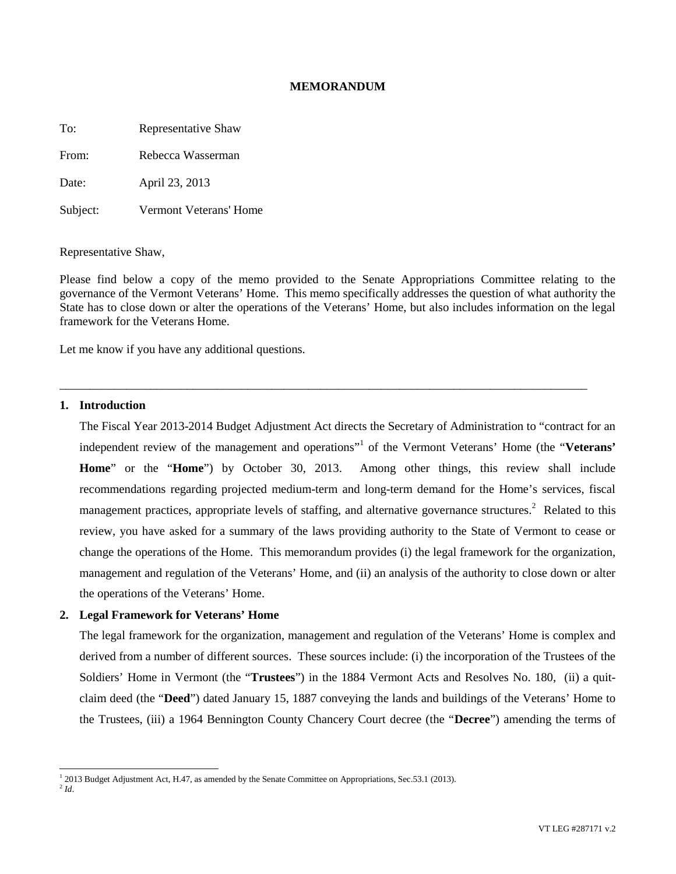## **MEMORANDUM**

To: Representative Shaw

From: Rebecca Wasserman

Date: April 23, 2013

Subject: Vermont Veterans' Home

#### Representative Shaw,

Please find below a copy of the memo provided to the Senate Appropriations Committee relating to the governance of the Vermont Veterans' Home. This memo specifically addresses the question of what authority the State has to close down or alter the operations of the Veterans' Home, but also includes information on the legal framework for the Veterans Home.

\_\_\_\_\_\_\_\_\_\_\_\_\_\_\_\_\_\_\_\_\_\_\_\_\_\_\_\_\_\_\_\_\_\_\_\_\_\_\_\_\_\_\_\_\_\_\_\_\_\_\_\_\_\_\_\_\_\_\_\_\_\_\_\_\_\_\_\_\_\_\_\_\_\_\_\_\_\_\_\_\_\_\_\_\_\_\_

Let me know if you have any additional questions.

## **1. Introduction**

The Fiscal Year 2013-2014 Budget Adjustment Act directs the Secretary of Administration to "contract for an independent review of the management and operations"<sup>[1](#page-0-0)</sup> of the Vermont Veterans' Home (the "Veterans' **Home**" or the "**Home**") by October 30, 2013. Among other things, this review shall include recommendations regarding projected medium-term and long-term demand for the Home's services, fiscal management practices, appropriate levels of staffing, and alternative governance structures.<sup>[2](#page-0-1)</sup> Related to this review, you have asked for a summary of the laws providing authority to the State of Vermont to cease or change the operations of the Home. This memorandum provides (i) the legal framework for the organization, management and regulation of the Veterans' Home, and (ii) an analysis of the authority to close down or alter the operations of the Veterans' Home.

## **2. Legal Framework for Veterans' Home**

The legal framework for the organization, management and regulation of the Veterans' Home is complex and derived from a number of different sources. These sources include: (i) the incorporation of the Trustees of the Soldiers' Home in Vermont (the "**Trustees**") in the 1884 Vermont Acts and Resolves No. 180, (ii) a quitclaim deed (the "**Deed**") dated January 15, 1887 conveying the lands and buildings of the Veterans' Home to the Trustees, (iii) a 1964 Bennington County Chancery Court decree (the "**Decree**") amending the terms of

 $^{2}$ *Id*.

<span id="page-0-1"></span><span id="page-0-0"></span><sup>&</sup>lt;sup>1</sup> 2013 Budget Adjustment Act, H.47, as amended by the Senate Committee on Appropriations, Sec.53.1 (2013).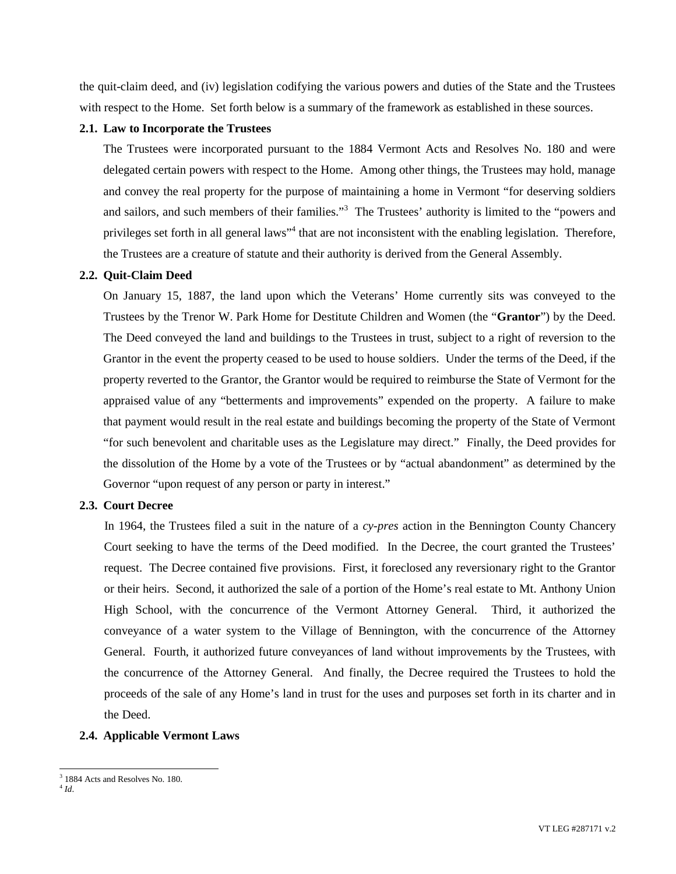the quit-claim deed, and (iv) legislation codifying the various powers and duties of the State and the Trustees with respect to the Home. Set forth below is a summary of the framework as established in these sources.

## **2.1. Law to Incorporate the Trustees**

The Trustees were incorporated pursuant to the 1884 Vermont Acts and Resolves No. 180 and were delegated certain powers with respect to the Home. Among other things, the Trustees may hold, manage and convey the real property for the purpose of maintaining a home in Vermont "for deserving soldiers and sailors, and such members of their families.["](#page-1-0)<sup>3</sup> The Trustees' authority is limited to the "powers and privilegesset forth in all general laws["](#page-1-1)<sup>4</sup> that are not inconsistent with the enabling legislation. Therefore, the Trustees are a creature of statute and their authority is derived from the General Assembly.

## **2.2. Quit-Claim Deed**

On January 15, 1887, the land upon which the Veterans' Home currently sits was conveyed to the Trustees by the Trenor W. Park Home for Destitute Children and Women (the "**Grantor**") by the Deed. The Deed conveyed the land and buildings to the Trustees in trust, subject to a right of reversion to the Grantor in the event the property ceased to be used to house soldiers. Under the terms of the Deed, if the property reverted to the Grantor, the Grantor would be required to reimburse the State of Vermont for the appraised value of any "betterments and improvements" expended on the property. A failure to make that payment would result in the real estate and buildings becoming the property of the State of Vermont "for such benevolent and charitable uses as the Legislature may direct." Finally, the Deed provides for the dissolution of the Home by a vote of the Trustees or by "actual abandonment" as determined by the Governor "upon request of any person or party in interest."

#### **2.3. Court Decree**

In 1964, the Trustees filed a suit in the nature of a *cy-pres* action in the Bennington County Chancery Court seeking to have the terms of the Deed modified. In the Decree, the court granted the Trustees' request. The Decree contained five provisions. First, it foreclosed any reversionary right to the Grantor or their heirs. Second, it authorized the sale of a portion of the Home's real estate to Mt. Anthony Union High School, with the concurrence of the Vermont Attorney General. Third, it authorized the conveyance of a water system to the Village of Bennington, with the concurrence of the Attorney General. Fourth, it authorized future conveyances of land without improvements by the Trustees, with the concurrence of the Attorney General. And finally, the Decree required the Trustees to hold the proceeds of the sale of any Home's land in trust for the uses and purposes set forth in its charter and in the Deed.

## **2.4. Applicable Vermont Laws**

<span id="page-1-1"></span><span id="page-1-0"></span><sup>3</sup> 1884 Acts and Resolves No. 180.

<sup>4</sup> *Id*.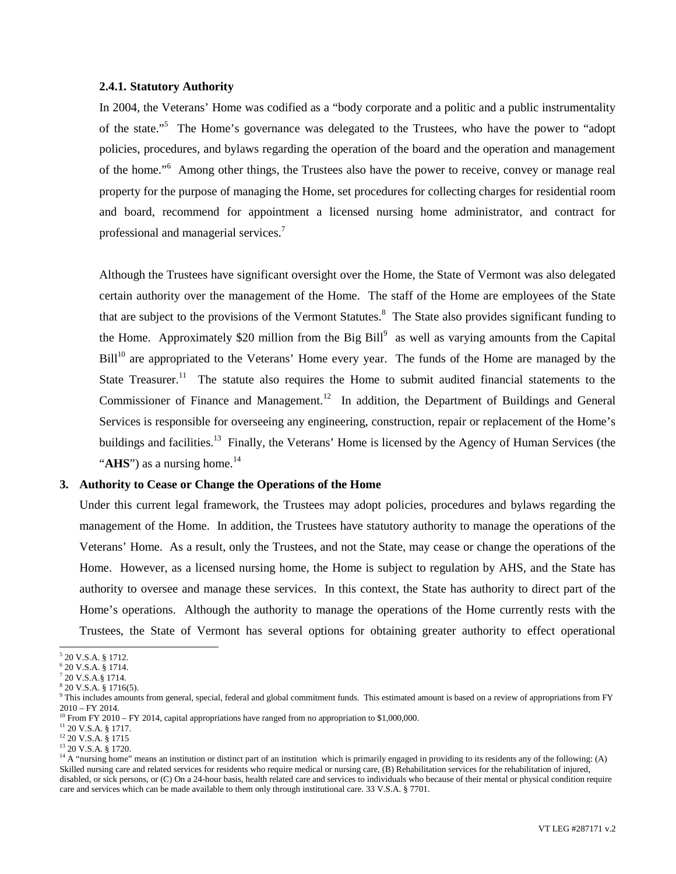### **2.4.1. Statutory Authority**

In 2004, the Veterans' Home was codified as a "body corporate and a politic and a public instrumentality of the state."<sup>[5](#page-2-0)</sup> The Home's governance was delegated to the Trustees, who have the power to "adopt" policies, procedures, and bylaws regarding the operation of the board and the operation and management of the home."<sup>[6](#page-2-1)</sup> Among other things, the Trustees also have the power to receive, convey or manage real property for the purpose of managing the Home, set procedures for collecting charges for residential room and board, recommend for appointment a licensed nursing home administrator, and contract for professional and managerial services.<sup>[7](#page-2-2)</sup>

Although the Trustees have significant oversight over the Home, the State of Vermont was also delegated certain authority over the management of the Home. The staff of the Home are employees of the State that are subject to the provisions of the Vermont Statutes.<sup>[8](#page-2-3)</sup> The State also provides significant funding to theHome. Approximately \$20 million from the Big Bill<sup>9</sup> as well as varying amounts from the Capital Bill<sup>[10](#page-2-5)</sup> are appropriated to the Veterans' Home every year. The funds of the Home are managed by the State Treasurer.<sup>[11](#page-2-6)</sup> The statute also requires the Home to submit audited financial statements to the Commissioner of Finance and Management.<sup>[12](#page-2-7)</sup> In addition, the Department of Buildings and General Services is responsible for overseeing any engineering, construction, repair or replacement of the Home's buildings and facilities.<sup>[13](#page-2-8)</sup> Finally, the Veterans' Home is licensed by the Agency of Human Services (the " $AHS$ ") as a nursing home.<sup>[14](#page-2-9)</sup>

## **3. Authority to Cease or Change the Operations of the Home**

Under this current legal framework, the Trustees may adopt policies, procedures and bylaws regarding the management of the Home. In addition, the Trustees have statutory authority to manage the operations of the Veterans' Home. As a result, only the Trustees, and not the State, may cease or change the operations of the Home. However, as a licensed nursing home, the Home is subject to regulation by AHS, and the State has authority to oversee and manage these services. In this context, the State has authority to direct part of the Home's operations. Although the authority to manage the operations of the Home currently rests with the Trustees, the State of Vermont has several options for obtaining greater authority to effect operational

<span id="page-2-1"></span><span id="page-2-0"></span><sup>5</sup> 20 V.S.A. § 1712.

<span id="page-2-2"></span><sup>6</sup> 20 V.S.A. § 1714.

<span id="page-2-3"></span> $720$  V.S.A.§ 1714. 8

<span id="page-2-4"></span><sup>20</sup> V.S.A. § 1716(5).

<sup>&</sup>lt;sup>9</sup> This includes amounts from general, special, federal and global commitment funds. This estimated amount is based on a review of appropriations from FY 2010 – FY 2014.

<span id="page-2-5"></span><sup>&</sup>lt;sup>10</sup> From FY 2010 – FY 2014, capital appropriations have ranged from no appropriation to \$1,000,000.

<span id="page-2-6"></span><sup>11</sup> 20 V.S.A. § 1717.

<span id="page-2-7"></span><sup>12</sup> 20 V.S.A. § 1715

<span id="page-2-9"></span><span id="page-2-8"></span><sup>13</sup> 20 V.S.A. § 1720.

 $14$  A "nursing home" means an institution or distinct part of an institution which is primarily engaged in providing to its residents any of the following: (A) Skilled nursing care and related services for residents who require medical or nursing care, (B) Rehabilitation services for the rehabilitation of injured, disabled, or sick persons, or (C) On a 24-hour basis, health related care and services to individuals who because of their mental or physical condition require care and services which can be made available to them only through institutional care. 33 V.S.A. § 7701.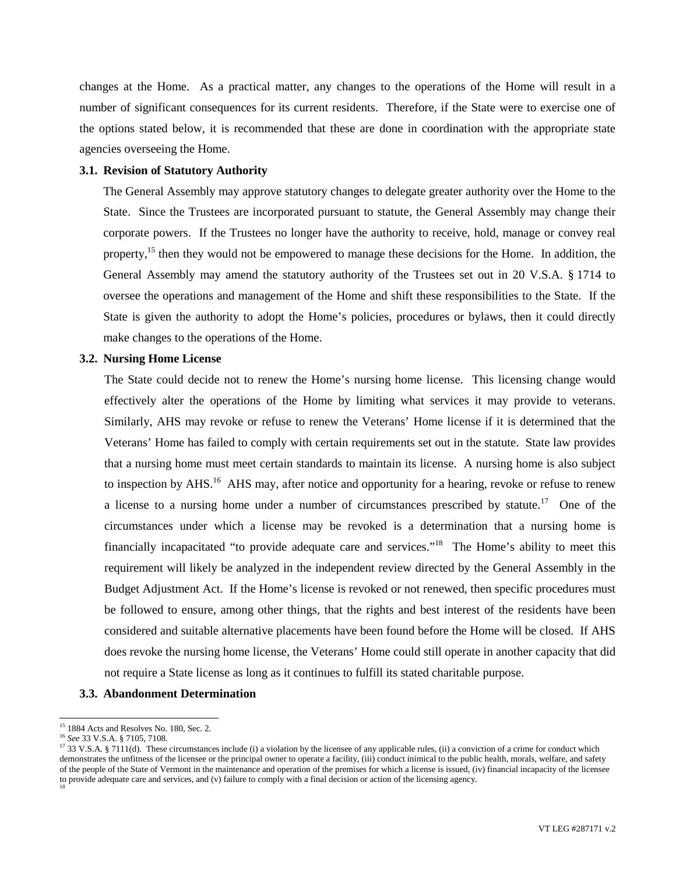changes at the Home. As a practical matter, any changes to the operations of the Home will result in a number of significant consequences for its current residents. Therefore, if the State were to exercise one of the options stated below, it is recommended that these are done in coordination with the appropriate state agencies overseeing the Home.

### **3.1. Revision of Statutory Authority**

The General Assembly may approve statutory changes to delegate greater authority over the Home to the State. Since the Trustees are incorporated pursuant to statute, the General Assembly may change their corporate powers. If the Trustees no longer have the authority to receive, hold, manage or convey real property,<sup>[15](#page-3-0)</sup> then they would not be empowered to manage these decisions for the Home. In addition, the General Assembly may amend the statutory authority of the Trustees set out in 20 V.S.A. § 1714 to oversee the operations and management of the Home and shift these responsibilities to the State. If the State is given the authority to adopt the Home's policies, procedures or bylaws, then it could directly make changes to the operations of the Home.

#### **3.2. Nursing Home License**

The State could decide not to renew the Home's nursing home license. This licensing change would effectively alter the operations of the Home by limiting what services it may provide to veterans. Similarly, AHS may revoke or refuse to renew the Veterans' Home license if it is determined that the Veterans' Home has failed to comply with certain requirements set out in the statute. State law provides that a nursing home must meet certain standards to maintain its license. A nursing home is also subject to inspection by AHS.<sup>[16](#page-3-1)</sup> AHS may, after notice and opportunity for a hearing, revoke or refuse to renew a license to a nursing home under a number of circumstances prescribed by statute.<sup>[17](#page-3-2)</sup> One of the circumstances under which a license may be revoked is a determination that a nursing home is financially incapacitated "to provide adequate care and services."<sup>18</sup> The Home's ability to meet this requirement will likely be analyzed in the independent review directed by the General Assembly in the Budget Adjustment Act. If the Home's license is revoked or not renewed, then specific procedures must be followed to ensure, among other things, that the rights and best interest of the residents have been considered and suitable alternative placements have been found before the Home will be closed. If AHS does revoke the nursing home license, the Veterans' Home could still operate in another capacity that did not require a State license as long as it continues to fulfill its stated charitable purpose.

### **3.3. Abandonment Determination**

<span id="page-3-1"></span><span id="page-3-0"></span><sup>&</sup>lt;sup>15</sup> 1884 Acts and Resolves No. 180, Sec. 2.

<sup>16</sup> *See* 33 V.S.A. § 7105, 7108.

<span id="page-3-2"></span><sup>&</sup>lt;sup>17</sup> 33 V.S.A. § 7111(d). These circumstances include (i) a violation by the licensee of any applicable rules, (ii) a conviction of a crime for conduct which demonstrates the unfitness of the licensee or the principal owner to operate a facility, (iii) conduct inimical to the public health, morals, welfare, and safety of the people of the State of Vermont in the maintenance and operation of the premises for which a license is issued, (iv) financial incapacity of the licensee to provide adequate care and services, and (v) failure to comply with a final decision or action of the licensing agency. 18